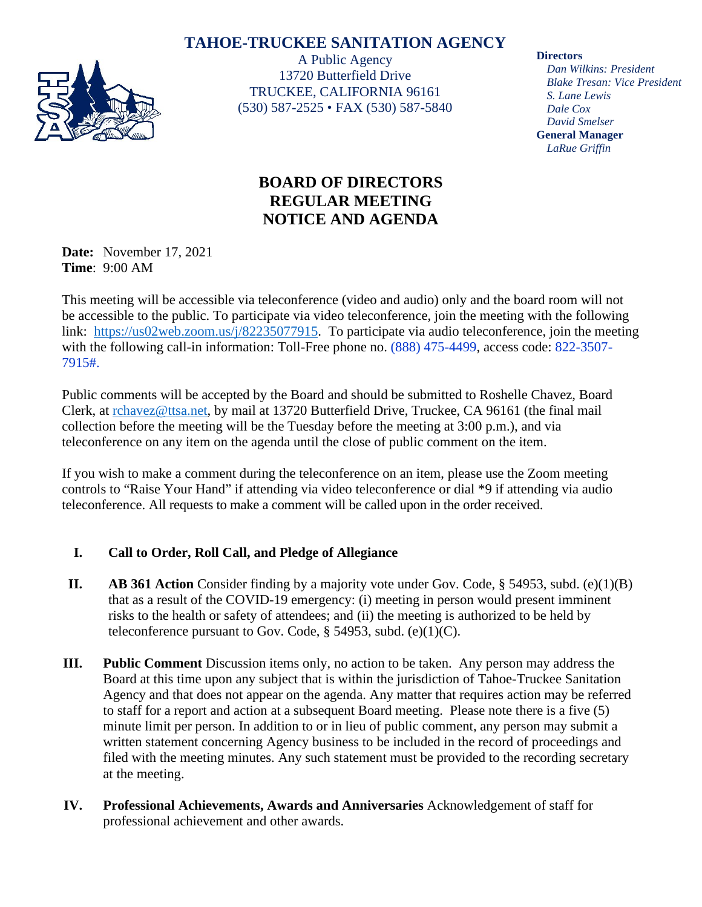# **TAHOE-TRUCKEE SANITATION AGENCY**



A Public Agency 13720 Butterfield Drive TRUCKEE, CALIFORNIA 96161 (530) 587-2525 • FAX (530) 587-5840 **Directors**

*Dan Wilkins: President Blake Tresan: Vice President S. Lane Lewis Dale Cox David Smelser* **General Manager** *LaRue Griffin*

# **BOARD OF DIRECTORS REGULAR MEETING NOTICE AND AGENDA**

**Date:** November 17, 2021 **Time**: 9:00 AM

This meeting will be accessible via teleconference (video and audio) only and the board room will not be accessible to the public. To participate via video teleconference, join the meeting with the following link: [https://us02web.zoom.us/j/82235077915.](https://us02web.zoom.us/j/82235077915) To participate via audio teleconference, join the meeting with the following call-in information: Toll-Free phone no. (888) 475-4499, access code: 822-3507-7915#.

Public comments will be accepted by the Board and should be submitted to Roshelle Chavez, Board Clerk, at [rchavez@ttsa.net,](mailto:rchavez@ttsa.net) by mail at 13720 Butterfield Drive, Truckee, CA 96161 (the final mail collection before the meeting will be the Tuesday before the meeting at 3:00 p.m.), and via teleconference on any item on the agenda until the close of public comment on the item.

If you wish to make a comment during the teleconference on an item, please use the Zoom meeting controls to "Raise Your Hand" if attending via video teleconference or dial \*9 if attending via audio teleconference. All requests to make a comment will be called upon in the order received.

## **I. Call to Order, Roll Call, and Pledge of Allegiance**

- **II. AB 361 Action** Consider finding by a majority vote under Gov. Code, § 54953, subd. (e)(1)(B) that as a result of the COVID-19 emergency: (i) meeting in person would present imminent risks to the health or safety of attendees; and (ii) the meeting is authorized to be held by teleconference pursuant to Gov. Code,  $\S$  54953, subd. (e)(1)(C).
- **III. Public Comment** Discussion items only, no action to be taken. Any person may address the Board at this time upon any subject that is within the jurisdiction of Tahoe-Truckee Sanitation Agency and that does not appear on the agenda. Any matter that requires action may be referred to staff for a report and action at a subsequent Board meeting. Please note there is a five (5) minute limit per person. In addition to or in lieu of public comment, any person may submit a written statement concerning Agency business to be included in the record of proceedings and filed with the meeting minutes. Any such statement must be provided to the recording secretary at the meeting.
- **IV. Professional Achievements, Awards and Anniversaries** Acknowledgement of staff for professional achievement and other awards.